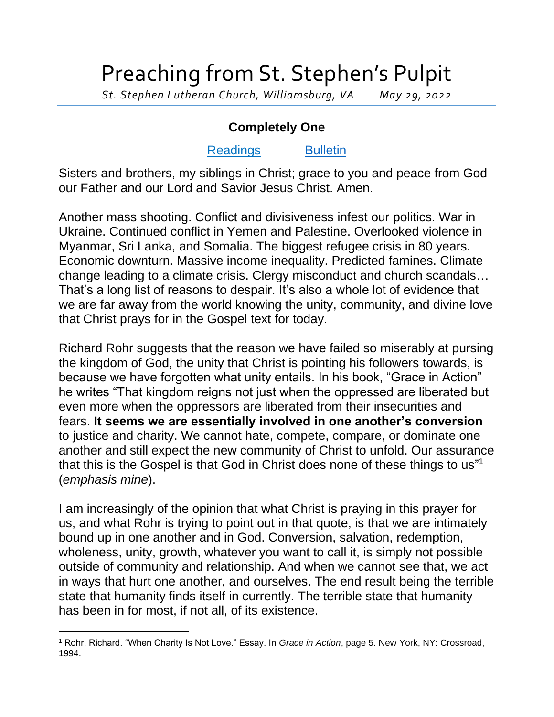## Preaching from St. Stephen's Pulpit

*St. Stephen Lutheran Church, Williamsburg, VA May 29, 2022*

## **Completely One**

## [Readings](https://lectionary.library.vanderbilt.edu/texts.php?id=140) [Bulletin](http://www.saintstephenlutheran.net/sunday-bulletins/)

Sisters and brothers, my siblings in Christ; grace to you and peace from God our Father and our Lord and Savior Jesus Christ. Amen.

Another mass shooting. Conflict and divisiveness infest our politics. War in Ukraine. Continued conflict in Yemen and Palestine. Overlooked violence in Myanmar, Sri Lanka, and Somalia. The biggest refugee crisis in 80 years. Economic downturn. Massive income inequality. Predicted famines. Climate change leading to a climate crisis. Clergy misconduct and church scandals… That's a long list of reasons to despair. It's also a whole lot of evidence that we are far away from the world knowing the unity, community, and divine love that Christ prays for in the Gospel text for today.

Richard Rohr suggests that the reason we have failed so miserably at pursing the kingdom of God, the unity that Christ is pointing his followers towards, is because we have forgotten what unity entails. In his book, "Grace in Action" he writes "That kingdom reigns not just when the oppressed are liberated but even more when the oppressors are liberated from their insecurities and fears. **It seems we are essentially involved in one another's conversion** to justice and charity. We cannot hate, compete, compare, or dominate one another and still expect the new community of Christ to unfold. Our assurance that this is the Gospel is that God in Christ does none of these things to us" 1 (*emphasis mine*).

I am increasingly of the opinion that what Christ is praying in this prayer for us, and what Rohr is trying to point out in that quote, is that we are intimately bound up in one another and in God. Conversion, salvation, redemption, wholeness, unity, growth, whatever you want to call it, is simply not possible outside of community and relationship. And when we cannot see that, we act in ways that hurt one another, and ourselves. The end result being the terrible state that humanity finds itself in currently. The terrible state that humanity has been in for most, if not all, of its existence.

<sup>1</sup> Rohr, Richard. "When Charity Is Not Love." Essay. In *Grace in Action*, page 5. New York, NY: Crossroad, 1994.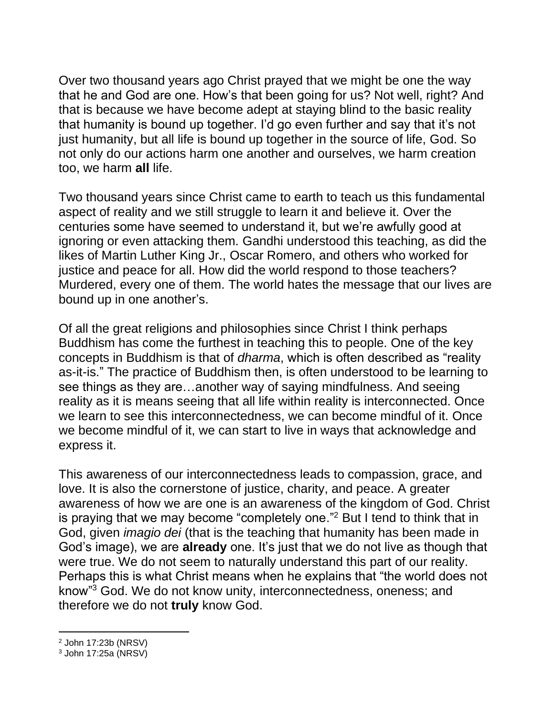Over two thousand years ago Christ prayed that we might be one the way that he and God are one. How's that been going for us? Not well, right? And that is because we have become adept at staying blind to the basic reality that humanity is bound up together. I'd go even further and say that it's not just humanity, but all life is bound up together in the source of life, God. So not only do our actions harm one another and ourselves, we harm creation too, we harm **all** life.

Two thousand years since Christ came to earth to teach us this fundamental aspect of reality and we still struggle to learn it and believe it. Over the centuries some have seemed to understand it, but we're awfully good at ignoring or even attacking them. Gandhi understood this teaching, as did the likes of Martin Luther King Jr., Oscar Romero, and others who worked for justice and peace for all. How did the world respond to those teachers? Murdered, every one of them. The world hates the message that our lives are bound up in one another's.

Of all the great religions and philosophies since Christ I think perhaps Buddhism has come the furthest in teaching this to people. One of the key concepts in Buddhism is that of *dharma*, which is often described as "reality as-it-is." The practice of Buddhism then, is often understood to be learning to see things as they are…another way of saying mindfulness. And seeing reality as it is means seeing that all life within reality is interconnected. Once we learn to see this interconnectedness, we can become mindful of it. Once we become mindful of it, we can start to live in ways that acknowledge and express it.

This awareness of our interconnectedness leads to compassion, grace, and love. It is also the cornerstone of justice, charity, and peace. A greater awareness of how we are one is an awareness of the kingdom of God. Christ is praying that we may become "completely one."<sup>2</sup> But I tend to think that in God, given *imagio dei* (that is the teaching that humanity has been made in God's image), we are **already** one. It's just that we do not live as though that were true. We do not seem to naturally understand this part of our reality. Perhaps this is what Christ means when he explains that "the world does not know"<sup>3</sup> God. We do not know unity, interconnectedness, oneness; and therefore we do not **truly** know God.

<sup>2</sup> John 17:23b (NRSV)

<sup>3</sup> John 17:25a (NRSV)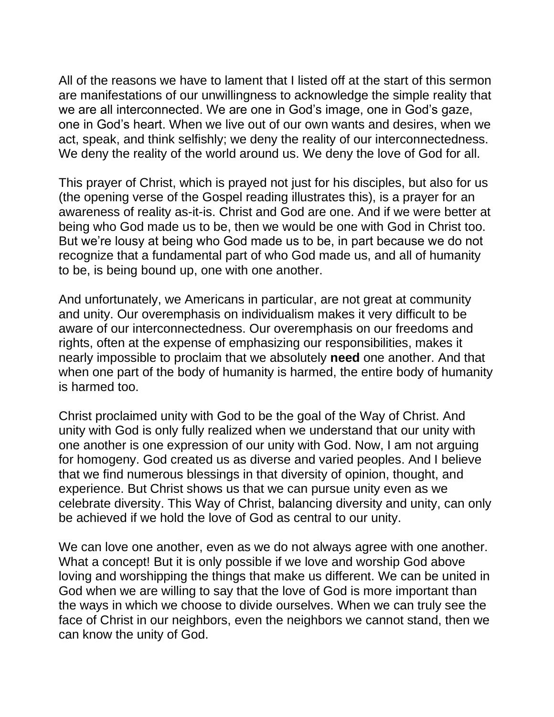All of the reasons we have to lament that I listed off at the start of this sermon are manifestations of our unwillingness to acknowledge the simple reality that we are all interconnected. We are one in God's image, one in God's gaze, one in God's heart. When we live out of our own wants and desires, when we act, speak, and think selfishly; we deny the reality of our interconnectedness. We deny the reality of the world around us. We deny the love of God for all.

This prayer of Christ, which is prayed not just for his disciples, but also for us (the opening verse of the Gospel reading illustrates this), is a prayer for an awareness of reality as-it-is. Christ and God are one. And if we were better at being who God made us to be, then we would be one with God in Christ too. But we're lousy at being who God made us to be, in part because we do not recognize that a fundamental part of who God made us, and all of humanity to be, is being bound up, one with one another.

And unfortunately, we Americans in particular, are not great at community and unity. Our overemphasis on individualism makes it very difficult to be aware of our interconnectedness. Our overemphasis on our freedoms and rights, often at the expense of emphasizing our responsibilities, makes it nearly impossible to proclaim that we absolutely **need** one another. And that when one part of the body of humanity is harmed, the entire body of humanity is harmed too.

Christ proclaimed unity with God to be the goal of the Way of Christ. And unity with God is only fully realized when we understand that our unity with one another is one expression of our unity with God. Now, I am not arguing for homogeny. God created us as diverse and varied peoples. And I believe that we find numerous blessings in that diversity of opinion, thought, and experience. But Christ shows us that we can pursue unity even as we celebrate diversity. This Way of Christ, balancing diversity and unity, can only be achieved if we hold the love of God as central to our unity.

We can love one another, even as we do not always agree with one another. What a concept! But it is only possible if we love and worship God above loving and worshipping the things that make us different. We can be united in God when we are willing to say that the love of God is more important than the ways in which we choose to divide ourselves. When we can truly see the face of Christ in our neighbors, even the neighbors we cannot stand, then we can know the unity of God.